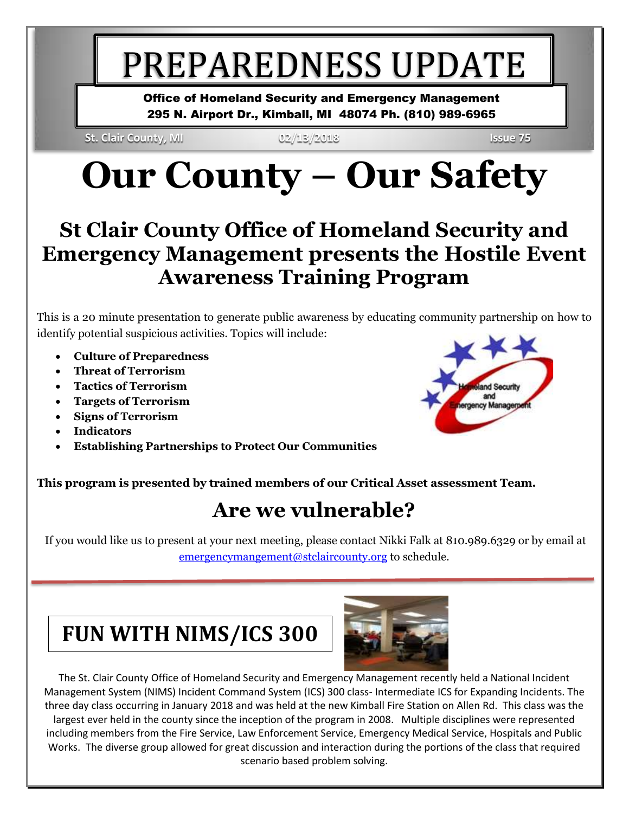# PREPAREDNESS UPDATE

Office of Homeland Security and Emergency Management 295 N. Airport Dr., Kimball, MI 48074 Ph. (810) 989-6965

**St. Clair County, MI 02/13/2018 Issue 75**

# **Our County – Our Safety**

#### **St Clair County Office of Homeland Security and Emergency Management presents the Hostile Event Awareness Training Program**

This is a 20 minute presentation to generate public awareness by educating community partnership on how to identify potential suspicious activities. Topics will include:

- **Culture of Preparedness**
- **Threat of Terrorism**
- **Tactics of Terrorism**
- **Targets of Terrorism**
- **Signs of Terrorism**
- **Indicators**
- **Establishing Partnerships to Protect Our Communities**

#### **This program is presented by trained members of our Critical Asset assessment Team.**

#### **Are we vulnerable?**

If you would like us to present at your next meeting, please contact Nikki Falk at 810.989.6329 or by email at [emergencymangement@stclaircounty.org](mailto:emergencymangement@stclaircounty.org) to schedule.

### **FUN WITH NIMS/ICS 300**



The St. Clair County Office of Homeland Security and Emergency Management recently held a National Incident Management System (NIMS) Incident Command System (ICS) 300 class- Intermediate ICS for Expanding Incidents. The three day class occurring in January 2018 and was held at the new Kimball Fire Station on Allen Rd. This class was the largest ever held in the county since the inception of the program in 2008. Multiple disciplines were represented including members from the Fire Service, Law Enforcement Service, Emergency Medical Service, Hospitals and Public Works. The diverse group allowed for great discussion and interaction during the portions of the class that required scenario based problem solving.

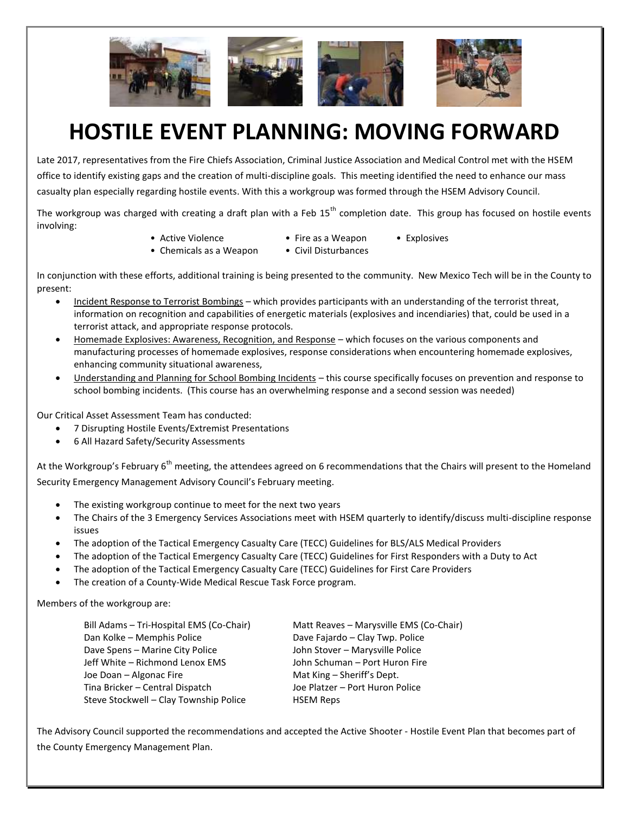

### **HOSTILE EVENT PLANNING: MOVING FORWARD**

Late 2017, representatives from the Fire Chiefs Association, Criminal Justice Association and Medical Control met with the HSEM office to identify existing gaps and the creation of multi-discipline goals. This meeting identified the need to enhance our mass casualty plan especially regarding hostile events. With this a workgroup was formed through the HSEM Advisory Council.

The workgroup was charged with creating a draft plan with a Feb  $15<sup>th</sup>$  completion date. This group has focused on hostile events involving:

- Active Violence Fire as a Weapon Explosives
- Chemicals as a Weapon Civil Disturbances
	-

In conjunction with these efforts, additional training is being presented to the community. New Mexico Tech will be in the County to present:

- Incident Response to Terrorist Bombings which provides participants with an understanding of the terrorist threat, information on recognition and capabilities of energetic materials (explosives and incendiaries) that, could be used in a terrorist attack, and appropriate response protocols.
- Homemade Explosives: Awareness, Recognition, and Response which focuses on the various components and manufacturing processes of homemade explosives, response considerations when encountering homemade explosives, enhancing community situational awareness,
- Understanding and Planning for School Bombing Incidents this course specifically focuses on prevention and response to school bombing incidents. (This course has an overwhelming response and a second session was needed)

Our Critical Asset Assessment Team has conducted:

- 7 Disrupting Hostile Events/Extremist Presentations
- 6 All Hazard Safety/Security Assessments

At the Workgroup's February 6<sup>th</sup> meeting, the attendees agreed on 6 recommendations that the Chairs will present to the Homeland Security Emergency Management Advisory Council's February meeting.

- The existing workgroup continue to meet for the next two years
- The Chairs of the 3 Emergency Services Associations meet with HSEM quarterly to identify/discuss multi-discipline response issues
- The adoption of the Tactical Emergency Casualty Care (TECC) Guidelines for BLS/ALS Medical Providers
- The adoption of the Tactical Emergency Casualty Care (TECC) Guidelines for First Responders with a Duty to Act
- The adoption of the Tactical Emergency Casualty Care (TECC) Guidelines for First Care Providers
- The creation of a County-Wide Medical Rescue Task Force program.

#### Members of the workgroup are:

| Matt Reaves - Marysville EMS (Co-Chair) |
|-----------------------------------------|
| Dave Fajardo - Clay Twp. Police         |
| John Stover - Marysville Police         |
| John Schuman - Port Huron Fire          |
| Mat King – Sheriff's Dept.              |
| Joe Platzer - Port Huron Police         |
| <b>HSEM Reps</b>                        |
|                                         |

The Advisory Council supported the recommendations and accepted the Active Shooter - Hostile Event Plan that becomes part of the County Emergency Management Plan.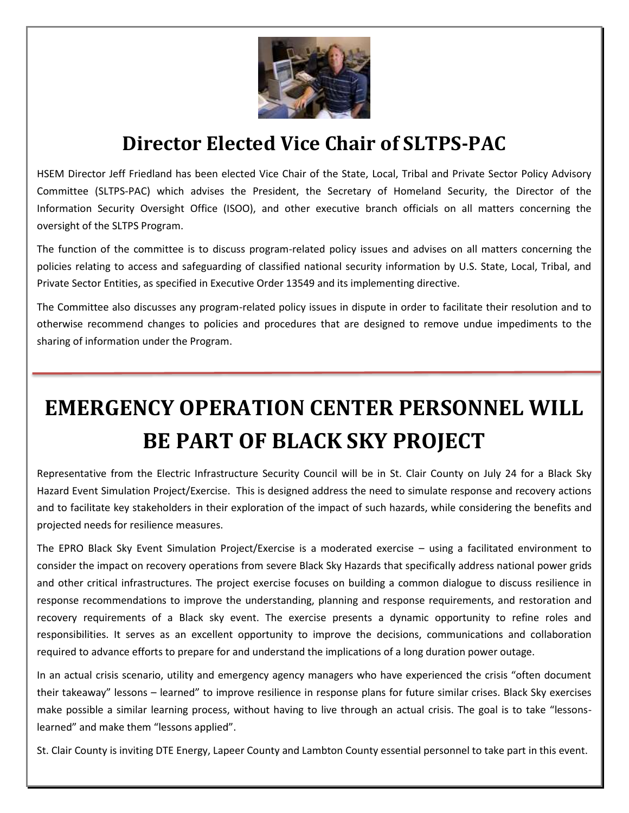

#### **Director Elected Vice Chair of SLTPS-PAC**

HSEM Director Jeff Friedland has been elected Vice Chair of the State, Local, Tribal and Private Sector Policy Advisory Committee (SLTPS-PAC) which advises the President, the Secretary of Homeland Security, the Director of the Information Security Oversight Office (ISOO), and other executive branch officials on all matters concerning the oversight of the SLTPS Program.

The function of the committee is to discuss program-related policy issues and advises on all matters concerning the policies relating to access and safeguarding of classified national security information by U.S. State, Local, Tribal, and Private Sector Entities, as specified in Executive Order 13549 and its implementing directive.

The Committee also discusses any program-related policy issues in dispute in order to facilitate their resolution and to otherwise recommend changes to policies and procedures that are designed to remove undue impediments to the sharing of information under the Program.

## **EMERGENCY OPERATION CENTER PERSONNEL WILL BE PART OF BLACK SKY PROJECT**

Representative from the Electric Infrastructure Security Council will be in St. Clair County on July 24 for a Black Sky Hazard Event Simulation Project/Exercise. This is designed address the need to simulate response and recovery actions and to facilitate key stakeholders in their exploration of the impact of such hazards, while considering the benefits and projected needs for resilience measures.

The EPRO Black Sky Event Simulation Project/Exercise is a moderated exercise – using a facilitated environment to consider the impact on recovery operations from severe Black Sky Hazards that specifically address national power grids and other critical infrastructures. The project exercise focuses on building a common dialogue to discuss resilience in response recommendations to improve the understanding, planning and response requirements, and restoration and recovery requirements of a Black sky event. The exercise presents a dynamic opportunity to refine roles and responsibilities. It serves as an excellent opportunity to improve the decisions, communications and collaboration required to advance efforts to prepare for and understand the implications of a long duration power outage.

In an actual crisis scenario, utility and emergency agency managers who have experienced the crisis "often document their takeaway" lessons – learned" to improve resilience in response plans for future similar crises. Black Sky exercises make possible a similar learning process, without having to live through an actual crisis. The goal is to take "lessonslearned" and make them "lessons applied".

St. Clair County is inviting DTE Energy, Lapeer County and Lambton County essential personnel to take part in this event.